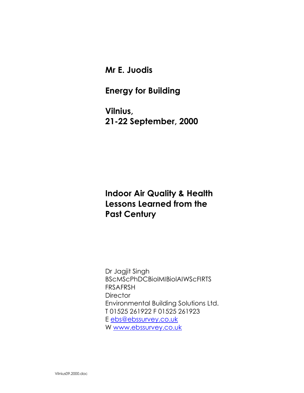Mr E. Juodis

## Energy for Building

Vilnius, 21-22 September, 2000

## Indoor Air Quality & Health Lessons Learned from the Past Century

Dr Jagjit Singh BScMScPhDCBiolMIBiolAIWScFIRTS FRSAFRSH **Director** Environmental Building Solutions Ltd. T 01525 261922 F 01525 261923 E ebs@ebssurvey.co.uk W www.ebssurvey.co.uk